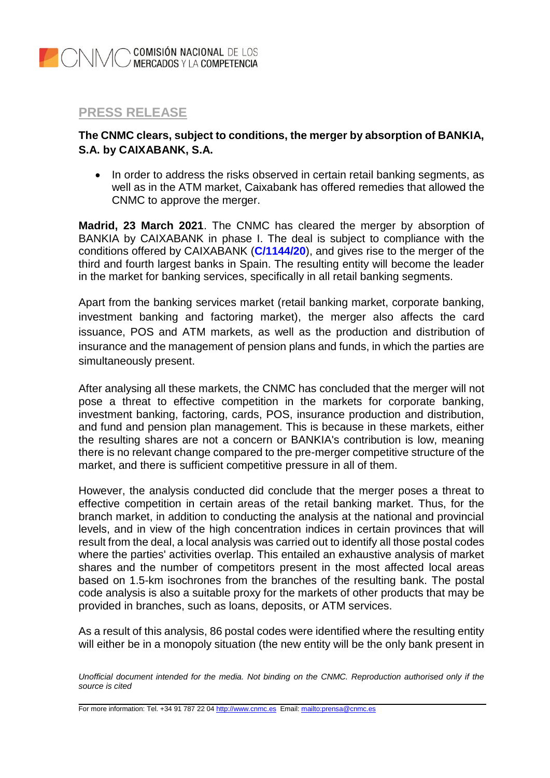## **PRESS RELEASE**

## **The CNMC clears, subject to conditions, the merger by absorption of BANKIA, S.A. by CAIXABANK, S.A.**

• In order to address the risks observed in certain retail banking segments, as well as in the ATM market, Caixabank has offered remedies that allowed the CNMC to approve the merger.

**Madrid, 23 March 2021**. The CNMC has cleared the merger by absorption of BANKIA by CAIXABANK in phase I. The deal is subject to compliance with the conditions offered by CAIXABANK (**C/1144/20**), and gives rise to the merger of the third and fourth largest banks in Spain. The resulting entity will become the leader in the market for banking services, specifically in all retail banking segments.

Apart from the banking services market (retail banking market, corporate banking, investment banking and factoring market), the merger also affects the card issuance, POS and ATM markets, as well as the production and distribution of insurance and the management of pension plans and funds, in which the parties are simultaneously present.

After analysing all these markets, the CNMC has concluded that the merger will not pose a threat to effective competition in the markets for corporate banking, investment banking, factoring, cards, POS, insurance production and distribution, and fund and pension plan management. This is because in these markets, either the resulting shares are not a concern or BANKIA's contribution is low, meaning there is no relevant change compared to the pre-merger competitive structure of the market, and there is sufficient competitive pressure in all of them.

However, the analysis conducted did conclude that the merger poses a threat to effective competition in certain areas of the retail banking market. Thus, for the branch market, in addition to conducting the analysis at the national and provincial levels, and in view of the high concentration indices in certain provinces that will result from the deal, a local analysis was carried out to identify all those postal codes where the parties' activities overlap. This entailed an exhaustive analysis of market shares and the number of competitors present in the most affected local areas based on 1.5-km isochrones from the branches of the resulting bank. The postal code analysis is also a suitable proxy for the markets of other products that may be provided in branches, such as loans, deposits, or ATM services.

As a result of this analysis, 86 postal codes were identified where the resulting entity will either be in a monopoly situation (the new entity will be the only bank present in

*Unofficial document intended for the media. Not binding on the CNMC. Reproduction authorised only if the source is cited*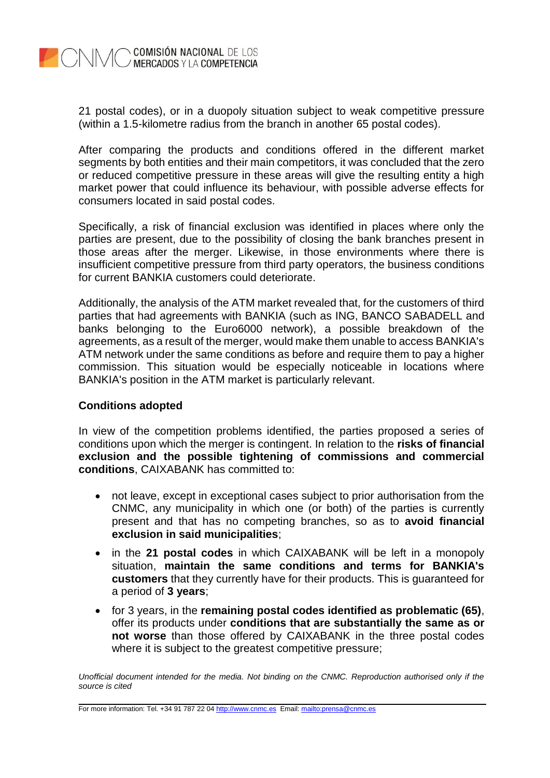

21 postal codes), or in a duopoly situation subject to weak competitive pressure (within a 1.5-kilometre radius from the branch in another 65 postal codes).

After comparing the products and conditions offered in the different market segments by both entities and their main competitors, it was concluded that the zero or reduced competitive pressure in these areas will give the resulting entity a high market power that could influence its behaviour, with possible adverse effects for consumers located in said postal codes.

Specifically, a risk of financial exclusion was identified in places where only the parties are present, due to the possibility of closing the bank branches present in those areas after the merger. Likewise, in those environments where there is insufficient competitive pressure from third party operators, the business conditions for current BANKIA customers could deteriorate.

Additionally, the analysis of the ATM market revealed that, for the customers of third parties that had agreements with BANKIA (such as ING, BANCO SABADELL and banks belonging to the Euro6000 network), a possible breakdown of the agreements, as a result of the merger, would make them unable to access BANKIA's ATM network under the same conditions as before and require them to pay a higher commission. This situation would be especially noticeable in locations where BANKIA's position in the ATM market is particularly relevant.

## **Conditions adopted**

In view of the competition problems identified, the parties proposed a series of conditions upon which the merger is contingent. In relation to the **risks of financial exclusion and the possible tightening of commissions and commercial conditions**, CAIXABANK has committed to:

- not leave, except in exceptional cases subject to prior authorisation from the CNMC, any municipality in which one (or both) of the parties is currently present and that has no competing branches, so as to **avoid financial exclusion in said municipalities**;
- in the **21 postal codes** in which CAIXABANK will be left in a monopoly situation, **maintain the same conditions and terms for BANKIA's customers** that they currently have for their products. This is guaranteed for a period of **3 years**;
- for 3 years, in the **remaining postal codes identified as problematic (65)**, offer its products under **conditions that are substantially the same as or not worse** than those offered by CAIXABANK in the three postal codes where it is subject to the greatest competitive pressure;

*Unofficial document intended for the media. Not binding on the CNMC. Reproduction authorised only if the source is cited*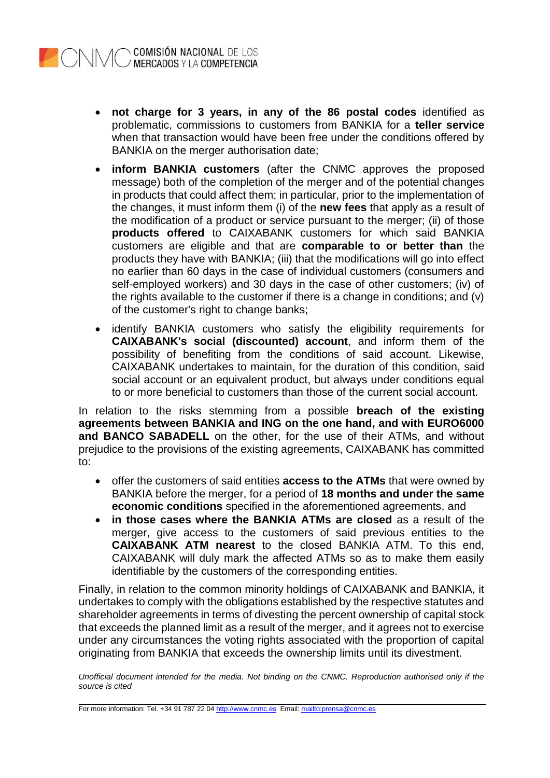

- **not charge for 3 years, in any of the 86 postal codes** identified as problematic, commissions to customers from BANKIA for a **teller service** when that transaction would have been free under the conditions offered by BANKIA on the merger authorisation date;
- **inform BANKIA customers** (after the CNMC approves the proposed message) both of the completion of the merger and of the potential changes in products that could affect them; in particular, prior to the implementation of the changes, it must inform them (i) of the **new fees** that apply as a result of the modification of a product or service pursuant to the merger; (ii) of those **products offered** to CAIXABANK customers for which said BANKIA customers are eligible and that are **comparable to or better than** the products they have with BANKIA; (iii) that the modifications will go into effect no earlier than 60 days in the case of individual customers (consumers and self-employed workers) and 30 days in the case of other customers; (iv) of the rights available to the customer if there is a change in conditions; and (v) of the customer's right to change banks;
- identify BANKIA customers who satisfy the eligibility requirements for **CAIXABANK's social (discounted) account**, and inform them of the possibility of benefiting from the conditions of said account. Likewise, CAIXABANK undertakes to maintain, for the duration of this condition, said social account or an equivalent product, but always under conditions equal to or more beneficial to customers than those of the current social account.

In relation to the risks stemming from a possible **breach of the existing agreements between BANKIA and ING on the one hand, and with EURO6000 and BANCO SABADELL** on the other, for the use of their ATMs, and without prejudice to the provisions of the existing agreements, CAIXABANK has committed to:

- offer the customers of said entities **access to the ATMs** that were owned by BANKIA before the merger, for a period of **18 months and under the same economic conditions** specified in the aforementioned agreements, and
- **in those cases where the BANKIA ATMs are closed** as a result of the merger, give access to the customers of said previous entities to the **CAIXABANK ATM nearest** to the closed BANKIA ATM. To this end, CAIXABANK will duly mark the affected ATMs so as to make them easily identifiable by the customers of the corresponding entities.

Finally, in relation to the common minority holdings of CAIXABANK and BANKIA, it undertakes to comply with the obligations established by the respective statutes and shareholder agreements in terms of divesting the percent ownership of capital stock that exceeds the planned limit as a result of the merger, and it agrees not to exercise under any circumstances the voting rights associated with the proportion of capital originating from BANKIA that exceeds the ownership limits until its divestment.

*Unofficial document intended for the media. Not binding on the CNMC. Reproduction authorised only if the source is cited*